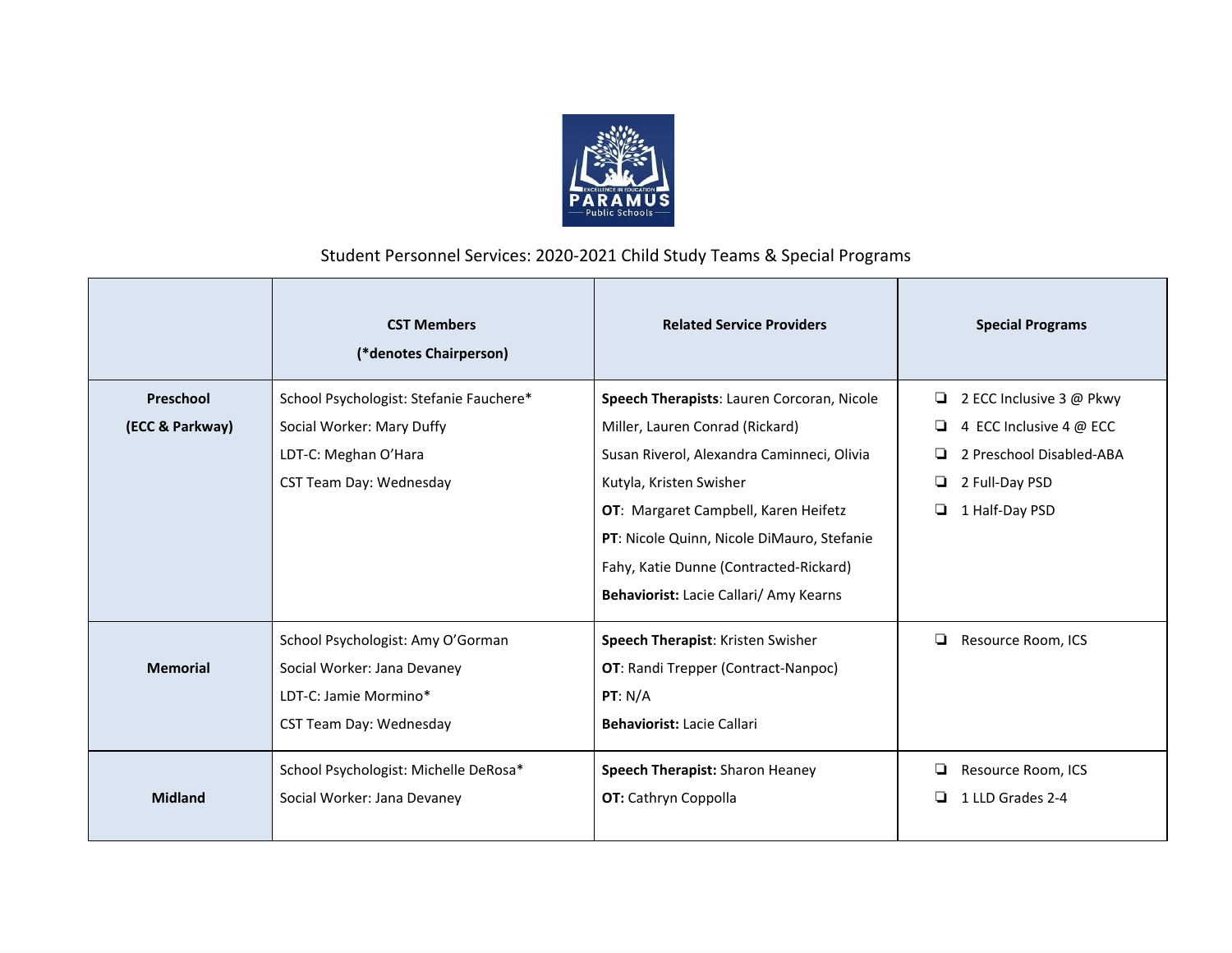

## Student Personnel Services: 2020-2021 Child Study Teams & Special Programs

|                 | <b>CST Members</b><br>(*denotes Chairperson) | <b>Related Service Providers</b>           | <b>Special Programs</b>  |
|-----------------|----------------------------------------------|--------------------------------------------|--------------------------|
| Preschool       | School Psychologist: Stefanie Fauchere*      | Speech Therapists: Lauren Corcoran, Nicole | 2 ECC Inclusive 3 @ Pkwy |
| (ECC & Parkway) | Social Worker: Mary Duffy                    | Miller, Lauren Conrad (Rickard)            | 4 ECC Inclusive 4 @ ECC  |
|                 | LDT-C: Meghan O'Hara                         | Susan Riverol, Alexandra Caminneci, Olivia | 2 Preschool Disabled-ABA |
|                 | CST Team Day: Wednesday                      | Kutyla, Kristen Swisher                    | o.<br>2 Full-Day PSD     |
|                 |                                              | OT: Margaret Campbell, Karen Heifetz       | 1 Half-Day PSD<br>o.     |
|                 |                                              | PT: Nicole Quinn, Nicole DiMauro, Stefanie |                          |
|                 |                                              | Fahy, Katie Dunne (Contracted-Rickard)     |                          |
|                 |                                              | Behaviorist: Lacie Callari/ Amy Kearns     |                          |
|                 | School Psychologist: Amy O'Gorman            | Speech Therapist: Kristen Swisher          | ❏<br>Resource Room, ICS  |
| <b>Memorial</b> | Social Worker: Jana Devaney                  | <b>OT:</b> Randi Trepper (Contract-Nanpoc) |                          |
|                 | LDT-C: Jamie Mormino*                        | PT: N/A                                    |                          |
|                 | CST Team Day: Wednesday                      | <b>Behaviorist: Lacie Callari</b>          |                          |
|                 | School Psychologist: Michelle DeRosa*        | Speech Therapist: Sharon Heaney            | Resource Room, ICS       |
| <b>Midland</b>  | Social Worker: Jana Devaney                  | OT: Cathryn Coppolla                       | 1 LLD Grades 2-4<br>o.   |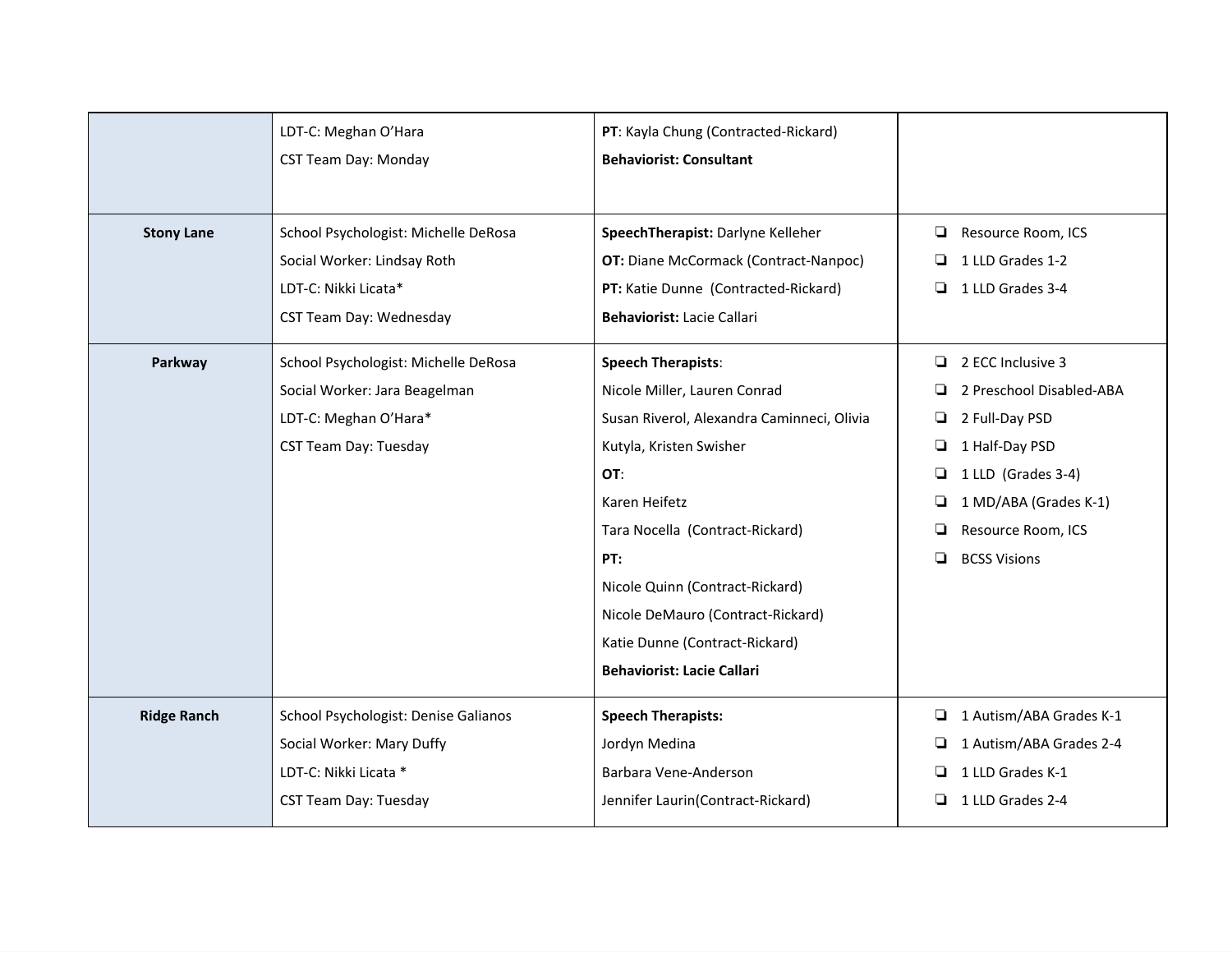|                    | LDT-C: Meghan O'Hara<br><b>CST Team Day: Monday</b>                                                                            | PT: Kayla Chung (Contracted-Rickard)<br><b>Behaviorist: Consultant</b>                                                                                                                                                                                                                                                                              |                                                                                                                                                                                                                  |
|--------------------|--------------------------------------------------------------------------------------------------------------------------------|-----------------------------------------------------------------------------------------------------------------------------------------------------------------------------------------------------------------------------------------------------------------------------------------------------------------------------------------------------|------------------------------------------------------------------------------------------------------------------------------------------------------------------------------------------------------------------|
| <b>Stony Lane</b>  | School Psychologist: Michelle DeRosa<br>Social Worker: Lindsay Roth<br>LDT-C: Nikki Licata*<br><b>CST Team Day: Wednesday</b>  | SpeechTherapist: Darlyne Kelleher<br><b>OT:</b> Diane McCormack (Contract-Nanpoc)<br>PT: Katie Dunne (Contracted-Rickard)<br>Behaviorist: Lacie Callari                                                                                                                                                                                             | Resource Room, ICS<br>❏<br>1 LLD Grades 1-2<br>❏<br>◘<br>1 LLD Grades 3-4                                                                                                                                        |
| Parkway            | School Psychologist: Michelle DeRosa<br>Social Worker: Jara Beagelman<br>LDT-C: Meghan O'Hara*<br><b>CST Team Day: Tuesday</b> | <b>Speech Therapists:</b><br>Nicole Miller, Lauren Conrad<br>Susan Riverol, Alexandra Caminneci, Olivia<br>Kutyla, Kristen Swisher<br>OT:<br>Karen Heifetz<br>Tara Nocella (Contract-Rickard)<br>PT:<br>Nicole Quinn (Contract-Rickard)<br>Nicole DeMauro (Contract-Rickard)<br>Katie Dunne (Contract-Rickard)<br><b>Behaviorist: Lacie Callari</b> | 2 ECC Inclusive 3<br>▫<br>2 Preschool Disabled-ABA<br>2 Full-Day PSD<br>❏<br>1 Half-Day PSD<br>❏<br>1 LLD (Grades 3-4)<br>❏<br>1 MD/ABA (Grades K-1)<br>❏<br>Resource Room, ICS<br>❏<br>▫<br><b>BCSS Visions</b> |
| <b>Ridge Ranch</b> | School Psychologist: Denise Galianos<br>Social Worker: Mary Duffy<br>LDT-C: Nikki Licata *<br><b>CST Team Day: Tuesday</b>     | <b>Speech Therapists:</b><br>Jordyn Medina<br>Barbara Vene-Anderson<br>Jennifer Laurin(Contract-Rickard)                                                                                                                                                                                                                                            | 1 Autism/ABA Grades K-1<br>❏<br>1 Autism/ABA Grades 2-4<br>1 LLD Grades K-1<br>❏<br>1 LLD Grades 2-4<br>ப                                                                                                        |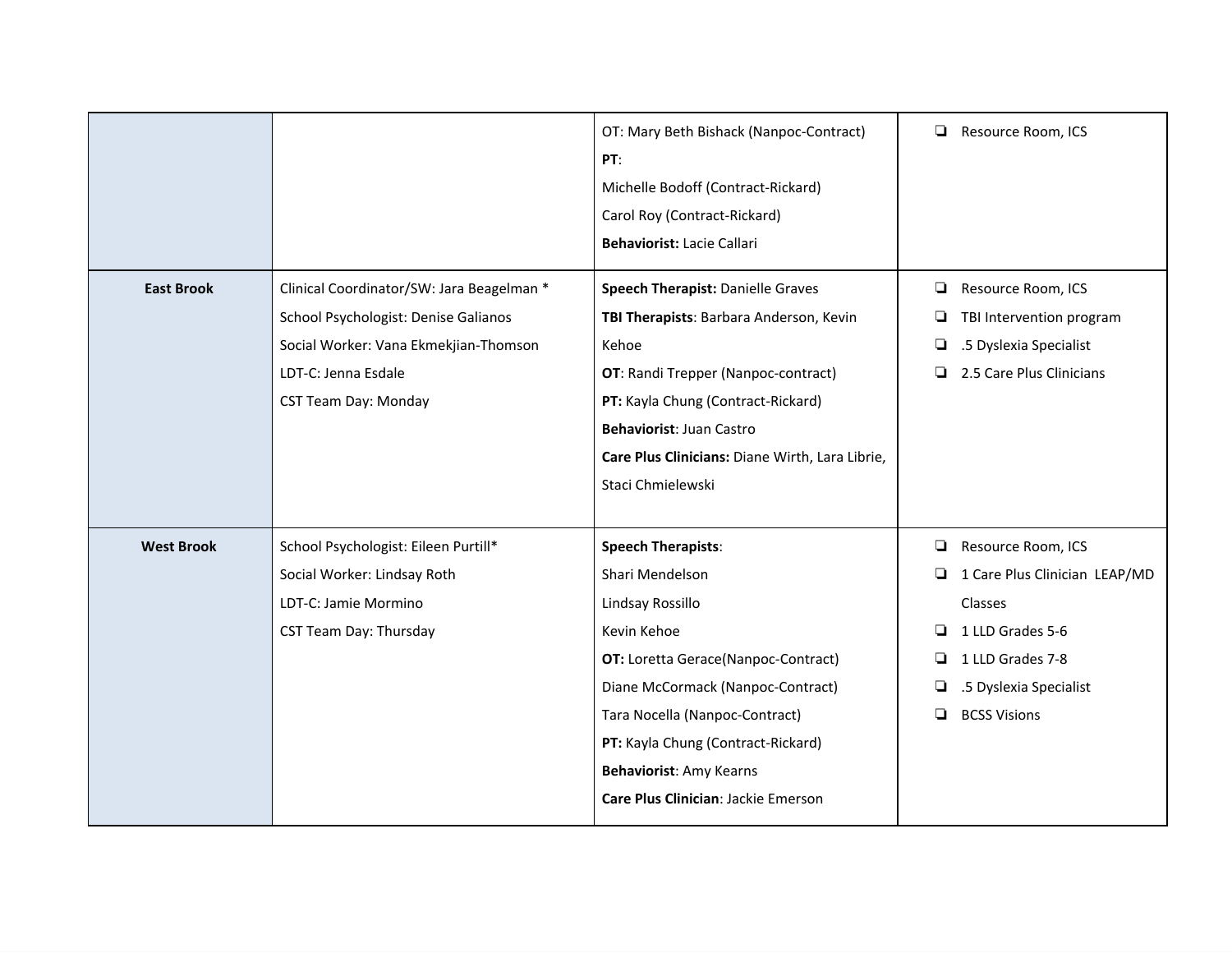| <b>East Brook</b> | Clinical Coordinator/SW: Jara Beagelman *<br>School Psychologist: Denise Galianos<br>Social Worker: Vana Ekmekjian-Thomson<br>LDT-C: Jenna Esdale<br><b>CST Team Day: Monday</b> | OT: Mary Beth Bishack (Nanpoc-Contract)<br>PT:<br>Michelle Bodoff (Contract-Rickard)<br>Carol Roy (Contract-Rickard)<br>Behaviorist: Lacie Callari<br>Speech Therapist: Danielle Graves<br>TBI Therapists: Barbara Anderson, Kevin<br>Kehoe<br><b>OT:</b> Randi Trepper (Nanpoc-contract)<br>PT: Kayla Chung (Contract-Rickard)<br>Behaviorist: Juan Castro<br>Care Plus Clinicians: Diane Wirth, Lara Librie,<br>Staci Chmielewski | ❏<br>❏<br>⊔<br>❏<br>❏      | Resource Room, ICS<br>Resource Room, ICS<br>TBI Intervention program<br>.5 Dyslexia Specialist<br>2.5 Care Plus Clinicians                              |
|-------------------|----------------------------------------------------------------------------------------------------------------------------------------------------------------------------------|-------------------------------------------------------------------------------------------------------------------------------------------------------------------------------------------------------------------------------------------------------------------------------------------------------------------------------------------------------------------------------------------------------------------------------------|----------------------------|---------------------------------------------------------------------------------------------------------------------------------------------------------|
| <b>West Brook</b> | School Psychologist: Eileen Purtill*<br>Social Worker: Lindsay Roth<br>LDT-C: Jamie Mormino<br>CST Team Day: Thursday                                                            | <b>Speech Therapists:</b><br>Shari Mendelson<br>Lindsay Rossillo<br>Kevin Kehoe<br><b>OT:</b> Loretta Gerace(Nanpoc-Contract)<br>Diane McCormack (Nanpoc-Contract)<br>Tara Nocella (Nanpoc-Contract)<br>PT: Kayla Chung (Contract-Rickard)<br>Behaviorist: Amy Kearns<br>Care Plus Clinician: Jackie Emerson                                                                                                                        | ❏<br>❏<br>❏<br>❏<br>❏<br>◻ | Resource Room, ICS<br>1 Care Plus Clinician LEAP/MD<br>Classes<br>1 LLD Grades 5-6<br>1 LLD Grades 7-8<br>.5 Dyslexia Specialist<br><b>BCSS Visions</b> |